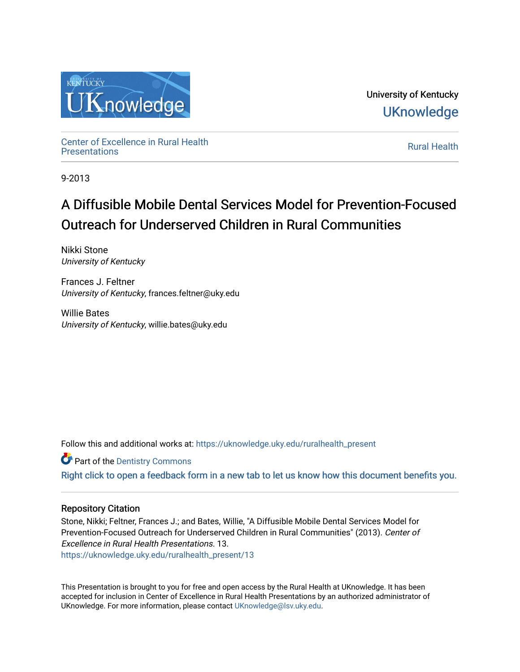

University of Kentucky **UKnowledge** 

Center of Excellence in Rural Health<br>Presentations Definer of Excellence in Kural Health<br>[Presentations](https://uknowledge.uky.edu/ruralhealth_present) **Rural Health** 

9-2013

#### A Diffusible Mobile Dental Services Model for Prevention-Focused Outreach for Underserved Children in Rural Communities

Nikki Stone University of Kentucky

Frances J. Feltner University of Kentucky, frances.feltner@uky.edu

Willie Bates University of Kentucky, willie.bates@uky.edu

Follow this and additional works at: [https://uknowledge.uky.edu/ruralhealth\\_present](https://uknowledge.uky.edu/ruralhealth_present?utm_source=uknowledge.uky.edu%2Fruralhealth_present%2F13&utm_medium=PDF&utm_campaign=PDFCoverPages) 

**Part of the Dentistry Commons** 

[Right click to open a feedback form in a new tab to let us know how this document benefits you.](https://uky.az1.qualtrics.com/jfe/form/SV_9mq8fx2GnONRfz7)

#### Repository Citation

Stone, Nikki; Feltner, Frances J.; and Bates, Willie, "A Diffusible Mobile Dental Services Model for Prevention-Focused Outreach for Underserved Children in Rural Communities" (2013). Center of Excellence in Rural Health Presentations. 13. [https://uknowledge.uky.edu/ruralhealth\\_present/13](https://uknowledge.uky.edu/ruralhealth_present/13?utm_source=uknowledge.uky.edu%2Fruralhealth_present%2F13&utm_medium=PDF&utm_campaign=PDFCoverPages)

This Presentation is brought to you for free and open access by the Rural Health at UKnowledge. It has been accepted for inclusion in Center of Excellence in Rural Health Presentations by an authorized administrator of UKnowledge. For more information, please contact [UKnowledge@lsv.uky.edu](mailto:UKnowledge@lsv.uky.edu).